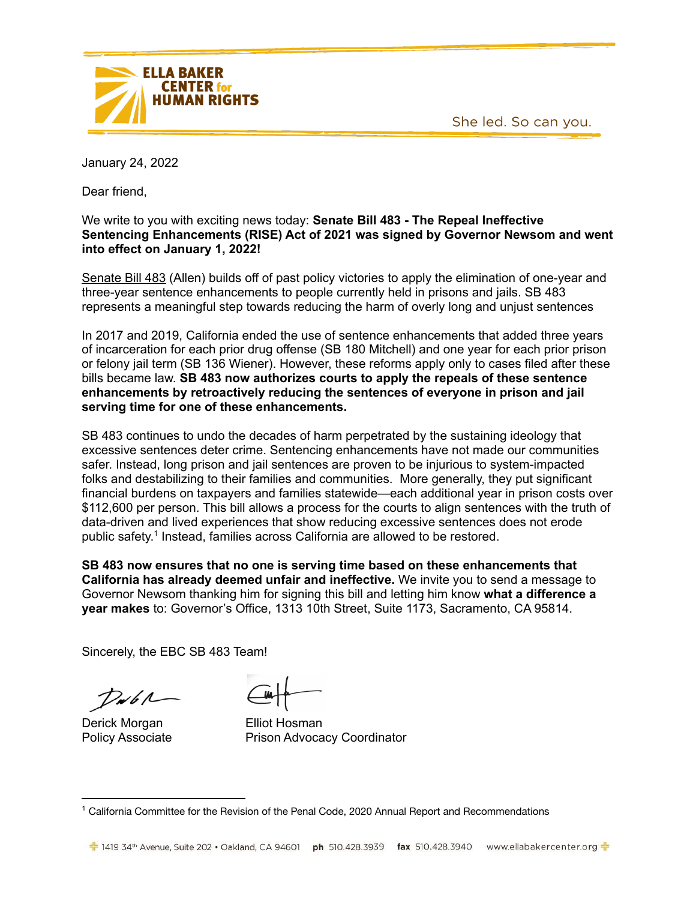She led. So can you.



January 24, 2022

Dear friend,

#### We write to you with exciting news today: **Senate Bill 483 - The Repeal Ineffective Sentencing Enhancements (RISE) Act of 2021 was signed by Governor Newsom and went into effect on January 1, 2022!**

[Senate](https://leginfo.legislature.ca.gov/faces/billNavClient.xhtml?bill_id=202120220SB483) Bill 483 (Allen) builds off of past policy victories to apply the elimination of one-year and three-year sentence enhancements to people currently held in prisons and jails. SB 483 represents a meaningful step towards reducing the harm of overly long and unjust sentences

In 2017 and 2019, California ended the use of sentence enhancements that added three years of incarceration for each prior drug offense (SB 180 Mitchell) and one year for each prior prison or felony jail term (SB 136 Wiener). However, these reforms apply only to cases filed after these bills became law. **SB 483 now authorizes courts to apply the repeals of these sentence enhancements by retroactively reducing the sentences of everyone in prison and jail serving time for one of these enhancements.**

SB 483 continues to undo the decades of harm perpetrated by the sustaining ideology that excessive sentences deter crime. Sentencing enhancements have not made our communities safer. Instead, long prison and jail sentences are proven to be injurious to system-impacted folks and destabilizing to their families and communities. More generally, they put significant financial burdens on taxpayers and families statewide—each additional year in prison costs over \$112,600 per person. This bill allows a process for the courts to align sentences with the truth of data-driven and lived experiences that show reducing excessive sentences does not erode public safety. 1 Instead, families across California are allowed to be restored.

**SB 483 now ensures that no one is serving time based on these enhancements that California has already deemed unfair and ineffective.** We invite you to send a message to Governor Newsom thanking him for signing this bill and letting him know **what a difference a year makes** to: Governor's Office, 1313 10th Street, Suite 1173, Sacramento, CA 95814.

Sincerely, the EBC SB 483 Team!

W 6 R

Derick Morgan Elliot Hosman

Policy Associate Prison Advocacy Coordinator

<sup>&</sup>lt;sup>1</sup> California Committee for the Revision of the Penal Code, 2020 Annual Report and Recommendations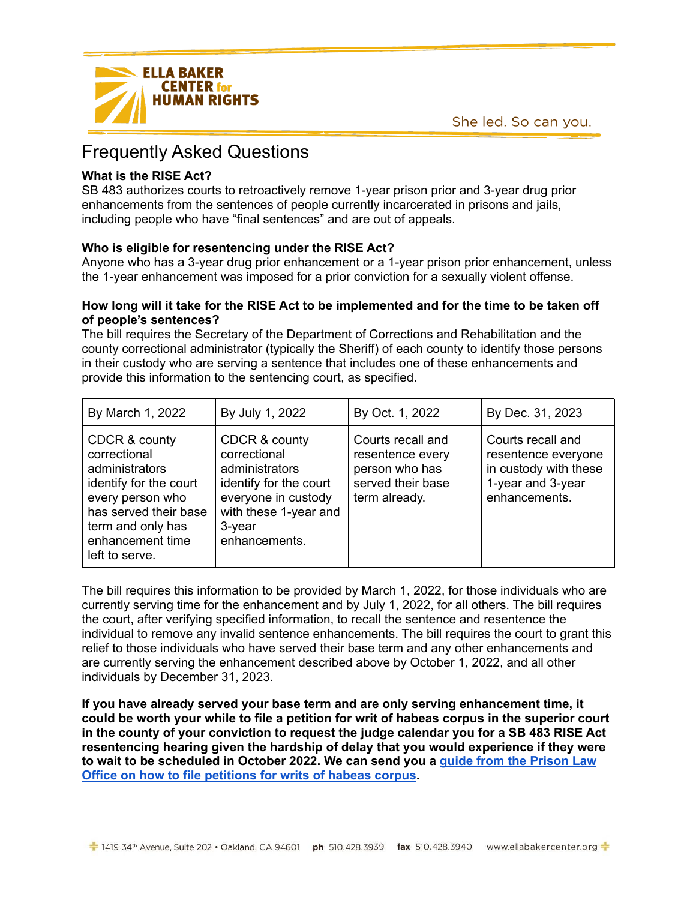She led. So can you.



**ELLA BAKER CENTER** for **HUMAN RIGHTS** 

### **What is the RISE Act?**

SB 483 authorizes courts to retroactively remove 1-year prison prior and 3-year drug prior enhancements from the sentences of people currently incarcerated in prisons and jails, including people who have "final sentences" and are out of appeals.

## **Who is eligible for resentencing under the RISE Act?**

Anyone who has a 3-year drug prior enhancement or a 1-year prison prior enhancement, unless the 1-year enhancement was imposed for a prior conviction for a sexually violent offense.

#### How long will it take for the RISE Act to be implemented and for the time to be taken off **of people's sentences?**

The bill requires the Secretary of the Department of Corrections and Rehabilitation and the county correctional administrator (typically the Sheriff) of each county to identify those persons in their custody who are serving a sentence that includes one of these enhancements and provide this information to the sentencing court, as specified.

| By March 1, 2022                                                                                                                                                                  | By July 1, 2022                                                                                                                                         | By Oct. 1, 2022                                                                               | By Dec. 31, 2023                                                                                        |
|-----------------------------------------------------------------------------------------------------------------------------------------------------------------------------------|---------------------------------------------------------------------------------------------------------------------------------------------------------|-----------------------------------------------------------------------------------------------|---------------------------------------------------------------------------------------------------------|
| CDCR & county<br>correctional<br>administrators<br>identify for the court<br>every person who<br>has served their base<br>term and only has<br>enhancement time<br>left to serve. | CDCR & county<br>correctional<br>administrators<br>identify for the court<br>everyone in custody<br>with these 1-year and<br>$3$ -year<br>enhancements. | Courts recall and<br>resentence every<br>person who has<br>served their base<br>term already. | Courts recall and<br>resentence everyone<br>in custody with these<br>1-year and 3-year<br>enhancements. |

The bill requires this information to be provided by March 1, 2022, for those individuals who are currently serving time for the enhancement and by July 1, 2022, for all others. The bill requires the court, after verifying specified information, to recall the sentence and resentence the individual to remove any invalid sentence enhancements. The bill requires the court to grant this relief to those individuals who have served their base term and any other enhancements and are currently serving the enhancement described above by October 1, 2022, and all other individuals by December 31, 2023.

**If you have already served your base term and are only serving enhancement time, it could be worth your while to file a petition for writ of habeas corpus in the superior court in the county of your conviction to request the judge calendar you for a SB 483 RISE Act resentencing hearing given the hardship of delay that you would experience if they were to wait to be scheduled in October 2022. We can send you a guide from the [Prison](https://prisonlaw.com/wp-content/uploads/2019/06/HCM-June-2019.pdf) Law Office on how to file [petitions](https://prisonlaw.com/wp-content/uploads/2019/06/HCM-June-2019.pdf) for writs of habeas corpus.**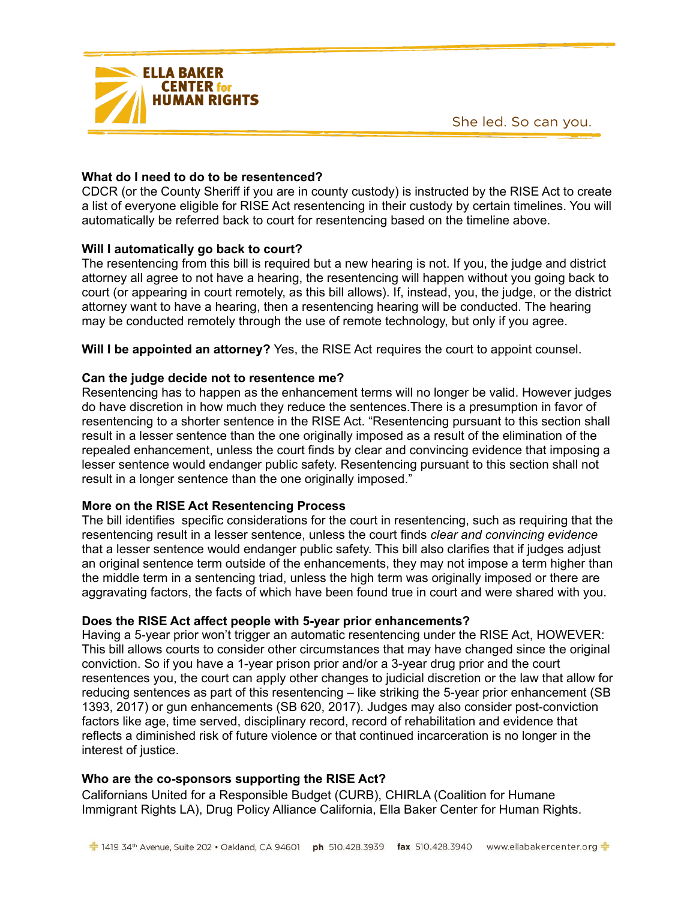She led. So can you.



### **What do I need to do to be resentenced?**

CDCR (or the County Sheriff if you are in county custody) is instructed by the RISE Act to create a list of everyone eligible for RISE Act resentencing in their custody by certain timelines. You will automatically be referred back to court for resentencing based on the timeline above.

### **Will I automatically go back to court?**

The resentencing from this bill is required but a new hearing is not. If you, the judge and district attorney all agree to not have a hearing, the resentencing will happen without you going back to court (or appearing in court remotely, as this bill allows). If, instead, you, the judge, or the district attorney want to have a hearing, then a resentencing hearing will be conducted. The hearing may be conducted remotely through the use of remote technology, but only if you agree.

**Will I be appointed an attorney?** Yes, the RISE Act requires the court to appoint counsel.

## **Can the judge decide not to resentence me?**

Resentencing has to happen as the enhancement terms will no longer be valid. However judges do have discretion in how much they reduce the sentences.There is a presumption in favor of resentencing to a shorter sentence in the RISE Act. "Resentencing pursuant to this section shall result in a lesser sentence than the one originally imposed as a result of the elimination of the repealed enhancement, unless the court finds by clear and convincing evidence that imposing a lesser sentence would endanger public safety. Resentencing pursuant to this section shall not result in a longer sentence than the one originally imposed."

# **More on the RISE Act Resentencing Process**

The bill identifies specific considerations for the court in resentencing, such as requiring that the resentencing result in a lesser sentence, unless the court finds *clear and convincing evidence* that a lesser sentence would endanger public safety. This bill also clarifies that if judges adjust an original sentence term outside of the enhancements, they may not impose a term higher than the middle term in a sentencing triad, unless the high term was originally imposed or there are aggravating factors, the facts of which have been found true in court and were shared with you.

# **Does the RISE Act affect people with 5-year prior enhancements?**

Having a 5-year prior won't trigger an automatic resentencing under the RISE Act, HOWEVER: This bill allows courts to consider other circumstances that may have changed since the original conviction. So if you have a 1-year prison prior and/or a 3-year drug prior and the court resentences you, the court can apply other changes to judicial discretion or the law that allow for reducing sentences as part of this resentencing – like striking the 5-year prior enhancement (SB 1393, 2017) or gun enhancements (SB 620, 2017). Judges may also consider post-conviction factors like age, time served, disciplinary record, record of rehabilitation and evidence that reflects a diminished risk of future violence or that continued incarceration is no longer in the interest of justice.

# **Who are the co-sponsors supporting the RISE Act?**

Californians United for a Responsible Budget (CURB), CHIRLA (Coalition for Humane Immigrant Rights LA), Drug Policy Alliance California, Ella Baker Center for Human Rights.